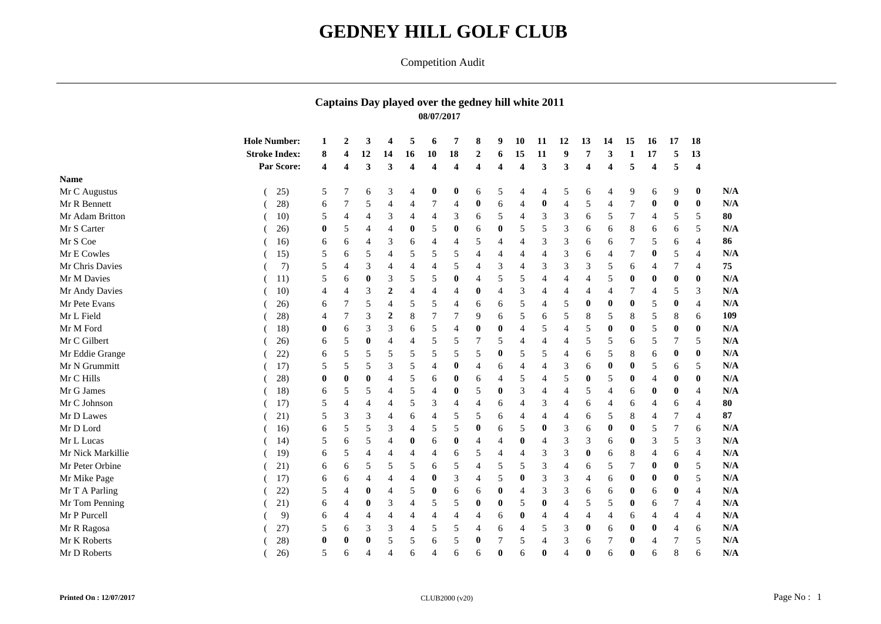## **GEDNEY HILL GOLF CLUB**

## Competition Audit

## **Captains Day played over the gedney hill white 2011 08/07/2017**

|                   | <b>Hole Number:</b>  |          | 2        | 3                | $\overline{\mathbf{4}}$ | 5                       | 6                       | 7                       | 8                       | 9                       | 10                      | 11                          | 12                      | 13             | 14       | 15           | <b>16</b>             | 17               | 18               |            |
|-------------------|----------------------|----------|----------|------------------|-------------------------|-------------------------|-------------------------|-------------------------|-------------------------|-------------------------|-------------------------|-----------------------------|-------------------------|----------------|----------|--------------|-----------------------|------------------|------------------|------------|
|                   | <b>Stroke Index:</b> | 8        |          | 12               | 14                      | 16                      | 10                      | 18                      | $\overline{2}$          | 6                       | 15                      | 11                          | 9                       |                | 3        | 1            | 17                    | 5                | 13               |            |
|                   | Par Score:           | 4        | 4        | 3                | 3                       | $\overline{\mathbf{4}}$ | $\overline{\mathbf{4}}$ | $\overline{\mathbf{4}}$ | $\overline{\mathbf{4}}$ | $\overline{\mathbf{4}}$ | $\overline{\mathbf{4}}$ | 3                           | $\overline{\mathbf{3}}$ | 4              | 4        | 5            | $\boldsymbol{\Delta}$ | 5                | $\boldsymbol{4}$ |            |
| <b>Name</b>       |                      |          |          |                  |                         |                         |                         |                         |                         |                         |                         |                             |                         |                |          |              |                       |                  |                  |            |
| Mr C Augustus     | 25)                  | 5        |          | 6                | 3                       | 4                       | $\bf{0}$                | $\bf{0}$                | 6                       | 5                       | $\overline{4}$          | $\overline{4}$              | 5                       | 6              | 4        | 9            | 6                     | 9                | $\bf{0}$         |            |
| Mr R Bennett      | 28)                  | 6        |          | 5                | $\overline{4}$          | $\overline{4}$          | $\tau$                  | $\overline{4}$          | $\bf{0}$                | 6                       | $\overline{4}$          | $\mathbf{0}$                | $\overline{A}$          | 5              |          |              |                       | $\bf{0}$         | $\bf{0}$         |            |
| Mr Adam Britton   | 10)                  | 5        |          | $\overline{4}$   | 3                       | 4                       | 4                       | 3                       | 6                       | 5                       | $\overline{4}$          | 3                           | 3                       | 6              | 5        |              | 4                     | 5                | 5                |            |
| Mr S Carter       | 26)                  | $\bf{0}$ | 5        | 4                | 4                       | $\bf{0}$                | 5                       | $\bf{0}$                | 6                       | $\bf{0}$                | 5                       | 5                           | 3                       | 6              | 6        | 8            | 6                     | 6                | 5                |            |
| Mr S Coe          | 16)                  | 6        | 6        | 4                | 3                       | 6                       | 4                       | 4                       | 5                       | $\overline{4}$          | $\overline{4}$          | 3                           | 3                       | 6              | 6        |              | 5                     | 6                | $\overline{4}$   |            |
| Mr E Cowles       | 15)                  | 5        | 6        | 5                | $\overline{4}$          | 5                       | 5                       | 5                       | 4                       | $\overline{4}$          | $\overline{4}$          | $\overline{4}$              | 3                       | 6              | 4        |              |                       | 5                | $\overline{4}$   |            |
| Mr Chris Davies   | 7)                   | 5        | 4        | 3                | 4                       | $\overline{4}$          | 4                       | 5                       | $\overline{4}$          | 3                       | $\overline{4}$          | 3                           | 3                       | 3              | 5        | 6            | 4                     |                  | $\overline{4}$   |            |
| Mr M Davies       | 11)                  | 5        | 6        | $\bf{0}$         | 3                       | 5                       | 5                       | $\bf{0}$                | $\overline{4}$          | 5                       | 5                       | $\overline{4}$              | $\overline{4}$          | $\overline{4}$ | 5        | 0            |                       | $\bf{0}$         | $\bf{0}$         |            |
| Mr Andy Davies    | 10)                  | 4        | 4        | 3                | $\boldsymbol{2}$        | $\overline{4}$          | $\overline{4}$          | 4                       | $\bf{0}$                | $\overline{4}$          | 3                       |                             | $\overline{A}$          | 4              | 4        |              | 4                     | 5                | 3                |            |
| Mr Pete Evans     | 26)                  | 6        |          | 5                | 4                       | 5                       | 5                       | 4                       | 6                       | 6                       | 5                       | $\overline{4}$              | 5                       | $\bf{0}$       | $\bf{0}$ | $\bf{0}$     | 5                     | $\boldsymbol{0}$ | $\overline{4}$   |            |
| Mr L Field        | 28)                  | 4        |          | 3                | $\boldsymbol{2}$        | $\,8\,$                 | 7                       | 7                       | 9                       | 6                       | 5                       | 6                           | 5                       | 8              | 5        | 8            | 5                     | 8                | 6                |            |
| Mr M Ford         | 18)                  | 0        | 6        | 3                | 3                       | 6                       | 5                       | $\overline{4}$          | $\bf{0}$                | 0                       | $\overline{4}$          | 5                           | $\overline{4}$          | 5              | $\bf{0}$ | $\bf{0}$     | 5                     | $\boldsymbol{0}$ | $\bf{0}$         |            |
| Mr C Gilbert      | 26)                  | 6        | 5        | $\bf{0}$         | $\overline{4}$          | 4                       | 5                       | 5                       | 7                       | 5                       | $\overline{4}$          |                             | $\overline{4}$          | 5              | 5        | 6            | 5                     | 7                | 5                |            |
| Mr Eddie Grange   | 22)                  | 6        | 5        | 5                | 5                       | 5                       | 5                       | 5                       | 5                       | $\bf{0}$                | 5                       | 5                           | $\overline{4}$          | 6              | 5        | 8            | 6                     | $\boldsymbol{0}$ | $\bf{0}$         |            |
| Mr N Grummitt     | 17)                  | 5        | 5        | 5                | 3                       | 5                       | 4                       | $\bf{0}$                | 4                       | 6                       | $\overline{4}$          |                             | 3                       | 6              | $\bf{0}$ | $\bf{0}$     | 5                     | 6                | 5                |            |
| Mr C Hills        | 28)                  | 0        | $\bf{0}$ | $\bf{0}$         | $\overline{4}$          | 5                       | 6                       | $\boldsymbol{0}$        | 6                       | $\overline{4}$          | 5                       | $\overline{4}$              | 5                       | $\bf{0}$       | 5        | $\bf{0}$     |                       | $\bf{0}$         | $\bf{0}$         |            |
| Mr G James        | 18)                  | 6        | 5        | 5                | 4                       | 5                       | 4                       | $\bf{0}$                | 5                       | $\bf{0}$                | 3                       | $\boldsymbol{\vartriangle}$ | $\overline{4}$          | 5              | 4        | 6            |                       | $\bf{0}$         | $\overline{4}$   |            |
| Mr C Johnson      | 17)                  | 5        |          |                  | $\overline{4}$          | 5                       | 3                       | 4                       | $\overline{4}$          | 6                       | $\overline{4}$          | 3                           | $\overline{4}$          | 6              | 4        | 6            |                       | 6                | $\Delta$         |            |
| Mr D Lawes        | 21)                  | 5        | 3        | 3                | $\overline{4}$          | 6                       | $\overline{4}$          | 5                       | 5                       | 6                       | $\overline{4}$          |                             | $\overline{4}$          | 6              | 5        | 8            | 4                     |                  |                  |            |
| Mr D Lord         | 16)                  | 6        | 5        | 5                | 3                       | $\overline{4}$          | 5                       | 5                       | $\bf{0}$                | 6                       | 5                       | $\bf{0}$                    | 3                       | 6              | 0        | $\bf{0}$     | 5                     | 7                | 6                |            |
| Mr L Lucas        | 14)                  | 5        | 6        | 5                | $\overline{4}$          | 0                       | 6                       | $\bf{0}$                | $\overline{4}$          | $\overline{4}$          | $\boldsymbol{0}$        | $\overline{4}$              | 3                       | 3              | 6        | $\bf{0}$     | 3                     | 5                | 3                |            |
| Mr Nick Markillie | 19)                  | 6        | 5        | $\overline{4}$   | $\overline{4}$          | $\overline{4}$          | 4                       | 6                       | 5                       | 4                       | $\overline{4}$          | 3                           | 3                       | $\bf{0}$       | 6        | 8            | 4                     | 6                | $\overline{4}$   |            |
| Mr Peter Orbine   | 21)                  | 6        | 6        | 5                | 5                       | 5                       | 6                       | 5                       | $\overline{4}$          | 5                       | 5                       | 3                           | $\overline{4}$          | 6              | 5        |              |                       | $\bf{0}$         | 5                |            |
| Mr Mike Page      | 17)                  | 6        | 6        |                  | 4                       | 4                       | $\bf{0}$                | 3                       | $\overline{4}$          | 5                       | $\bf{0}$                | 3                           | 3                       | $\overline{4}$ | 6        | $\bf{0}$     | 0                     | $\bf{0}$         | 5                |            |
| Mr T A Parling    | 22)                  | 5        |          | $\boldsymbol{0}$ | $\overline{4}$          | 5                       | $\bf{0}$                | 6                       | 6                       | $\boldsymbol{0}$        | $\overline{4}$          | 3                           | 3                       | 6              | 6        | $\bf{0}$     | 6                     | $\bf{0}$         | $\overline{4}$   |            |
| Mr Tom Penning    | 21)                  | 6        | 4        | $\boldsymbol{0}$ | 3                       | $\overline{4}$          | 5                       | 5                       | $\bf{0}$                | $\bf{0}$                | 5                       | $\bf{0}$                    | $\overline{4}$          | 5              | 5        | $\bf{0}$     | 6                     |                  | $\overline{4}$   |            |
| Mr P Purcell      | 9)                   | 6        | 4        | $\overline{4}$   | $\overline{4}$          | 4                       | 4                       | 4                       | 4                       | 6                       | $\bf{0}$                | $\overline{4}$              | 4                       | 4              | 4        | 6            | 4                     | $\overline{4}$   | $\overline{4}$   |            |
| Mr R Ragosa       | 27)                  | 5        | 6        | 3                | 3                       | 4                       | 5                       | 5                       | 4                       | 6                       | $\overline{4}$          | 5                           | 3                       | 0              | 6        | 0            |                       |                  | 6                |            |
| Mr K Roberts      | 28)                  | $\bf{0}$ | $\bf{0}$ | $\bf{0}$         | 5                       | 5                       | 6                       | 5                       | $\bf{0}$                | 7                       | 5                       | 4                           | 3                       | 6              |          | $\bf{0}$     | 4                     |                  | 5                |            |
| Mr D Roberts      | 26)                  | 5        | 6        | $\overline{4}$   | $\overline{4}$          | 6                       | 4                       | 6                       | 6                       | $\mathbf{0}$            | 6                       | $\mathbf{0}$                | $\overline{4}$          | 0              | 6        | $\mathbf{0}$ | 6                     | 8                | 6                | N/A<br>N/A |